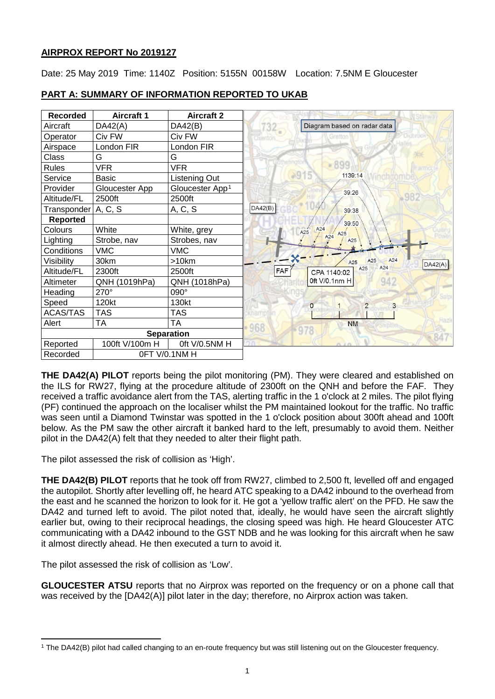## **AIRPROX REPORT No 2019127**

Date: 25 May 2019 Time: 1140Z Position: 5155N 00158W Location: 7.5NM E Gloucester

| <b>Recorded</b> | <b>Aircraft 1</b> | <b>Aircraft 2</b>           |         |              |                             |                |     |         |
|-----------------|-------------------|-----------------------------|---------|--------------|-----------------------------|----------------|-----|---------|
| Aircraft        | DA42(A)           | DA42(B)                     | $732 -$ |              | Diagram based on radar data |                |     |         |
| Operator        | Civ FW            | Civ FW                      |         |              |                             |                |     |         |
| Airspace        | London FIR        | London FIR                  |         |              |                             |                |     |         |
| Class           | G                 | G                           |         |              |                             |                |     |         |
| <b>Rules</b>    | <b>VFR</b>        | <b>VFR</b>                  |         |              | 899                         |                |     |         |
| Service         | <b>Basic</b>      | Listening Out               |         |              | 1139:14                     |                |     |         |
| Provider        | Gloucester App    | Gloucester App <sup>1</sup> |         |              | 39:26                       |                |     |         |
| Altitude/FL     | 2500ft            | 2500ft                      |         |              |                             |                |     |         |
| Transponder     | A, C, S           | A, C, S                     | DA42(B) |              | 39:38                       |                |     |         |
| <b>Reported</b> |                   |                             |         |              | 39:50                       |                |     |         |
| Colours         | White             | White, grey                 |         | A24<br>A25   | A25                         |                |     |         |
| Lighting        | Strobe, nav       | Strobes, nav                |         |              | A24<br>A25                  |                |     |         |
| Conditions      | <b>VMC</b>        | <b>VMC</b>                  |         |              |                             |                |     |         |
| Visibility      | 30km              | $>10$ km                    |         |              | A25                         | A25            | A24 | DA42(A) |
| Altitude/FL     | 2300ft            | 2500ft                      | FAF     |              | CPA 1140:02                 | A25            | A24 |         |
| Altimeter       | QNH (1019hPa)     | QNH (1018hPa)               |         |              | 0ft V/0.1nm H               |                | 942 |         |
| Heading         | 270°              | 090°                        |         |              |                             |                |     |         |
| Speed           | 120kt             | 130kt                       |         | $\mathbf{0}$ |                             | $\overline{2}$ | 3   |         |
| <b>ACAS/TAS</b> | <b>TAS</b>        | <b>TAS</b>                  |         |              |                             |                |     |         |
| Alert           | <b>TA</b>         | TA                          | 968     |              | <b>NM</b>                   |                |     |         |
|                 |                   | <b>Separation</b>           |         |              |                             |                |     | 847     |
| Reported        | 100ft V/100m H    | Oft V/0.5NM H               |         |              |                             |                |     |         |
| Recorded        |                   | OFT V/0.1NM H               |         |              |                             |                |     |         |

### **PART A: SUMMARY OF INFORMATION REPORTED TO UKAB**

**THE DA42(A) PILOT** reports being the pilot monitoring (PM). They were cleared and established on the ILS for RW27, flying at the procedure altitude of 2300ft on the QNH and before the FAF. They received a traffic avoidance alert from the TAS, alerting traffic in the 1 o'clock at 2 miles. The pilot flying (PF) continued the approach on the localiser whilst the PM maintained lookout for the traffic. No traffic was seen until a Diamond Twinstar was spotted in the 1 o'clock position about 300ft ahead and 100ft below. As the PM saw the other aircraft it banked hard to the left, presumably to avoid them. Neither pilot in the DA42(A) felt that they needed to alter their flight path.

The pilot assessed the risk of collision as 'High'.

**THE DA42(B) PILOT** reports that he took off from RW27, climbed to 2,500 ft, levelled off and engaged the autopilot. Shortly after levelling off, he heard ATC speaking to a DA42 inbound to the overhead from the east and he scanned the horizon to look for it. He got a 'yellow traffic alert' on the PFD. He saw the DA42 and turned left to avoid. The pilot noted that, ideally, he would have seen the aircraft slightly earlier but, owing to their reciprocal headings, the closing speed was high. He heard Gloucester ATC communicating with a DA42 inbound to the GST NDB and he was looking for this aircraft when he saw it almost directly ahead. He then executed a turn to avoid it.

The pilot assessed the risk of collision as 'Low'.

**GLOUCESTER ATSU** reports that no Airprox was reported on the frequency or on a phone call that was received by the [DA42(A)] pilot later in the day; therefore, no Airprox action was taken.

<span id="page-0-0"></span>l <sup>1</sup> The DA42(B) pilot had called changing to an en-route frequency but was still listening out on the Gloucester frequency.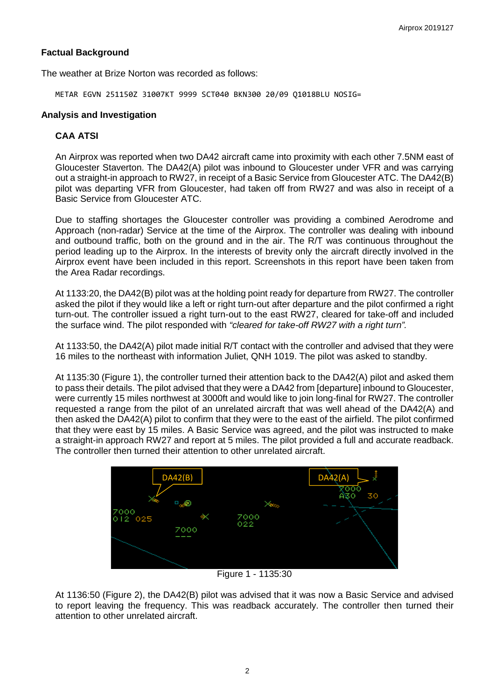#### **Factual Background**

The weather at Brize Norton was recorded as follows:

METAR EGVN 251150Z 31007KT 9999 SCT040 BKN300 20/09 Q1018BLU NOSIG=

### **Analysis and Investigation**

## **CAA ATSI**

An Airprox was reported when two DA42 aircraft came into proximity with each other 7.5NM east of Gloucester Staverton. The DA42(A) pilot was inbound to Gloucester under VFR and was carrying out a straight-in approach to RW27, in receipt of a Basic Service from Gloucester ATC. The DA42(B) pilot was departing VFR from Gloucester, had taken off from RW27 and was also in receipt of a Basic Service from Gloucester ATC.

Due to staffing shortages the Gloucester controller was providing a combined Aerodrome and Approach (non-radar) Service at the time of the Airprox. The controller was dealing with inbound and outbound traffic, both on the ground and in the air. The R/T was continuous throughout the period leading up to the Airprox. In the interests of brevity only the aircraft directly involved in the Airprox event have been included in this report. Screenshots in this report have been taken from the Area Radar recordings.

At 1133:20, the DA42(B) pilot was at the holding point ready for departure from RW27. The controller asked the pilot if they would like a left or right turn-out after departure and the pilot confirmed a right turn-out. The controller issued a right turn-out to the east RW27, cleared for take-off and included the surface wind. The pilot responded with *"cleared for take-off RW27 with a right turn".*

At 1133:50, the DA42(A) pilot made initial R/T contact with the controller and advised that they were 16 miles to the northeast with information Juliet, QNH 1019. The pilot was asked to standby.

At 1135:30 (Figure 1), the controller turned their attention back to the DA42(A) pilot and asked them to pass their details. The pilot advised that they were a DA42 from [departure] inbound to Gloucester, were currently 15 miles northwest at 3000ft and would like to join long-final for RW27. The controller requested a range from the pilot of an unrelated aircraft that was well ahead of the DA42(A) and then asked the DA42(A) pilot to confirm that they were to the east of the airfield. The pilot confirmed that they were east by 15 miles. A Basic Service was agreed, and the pilot was instructed to make a straight-in approach RW27 and report at 5 miles. The pilot provided a full and accurate readback. The controller then turned their attention to other unrelated aircraft.



Figure 1 - 1135:30

At 1136:50 (Figure 2), the DA42(B) pilot was advised that it was now a Basic Service and advised to report leaving the frequency. This was readback accurately. The controller then turned their attention to other unrelated aircraft.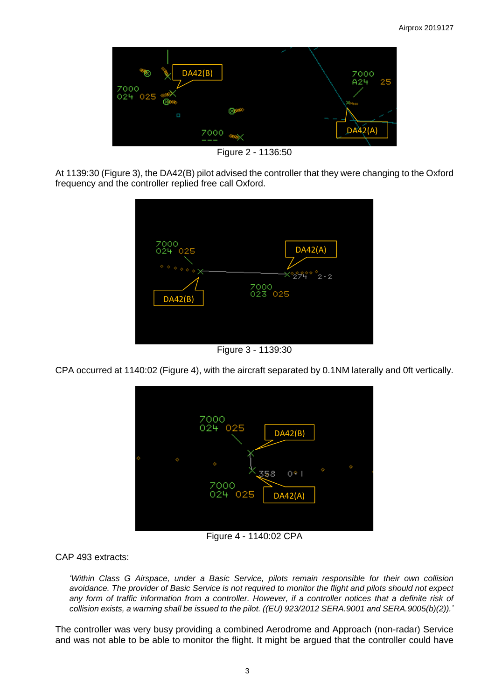

Figure 2 - 1136:50

At 1139:30 (Figure 3), the DA42(B) pilot advised the controller that they were changing to the Oxford frequency and the controller replied free call Oxford.



Figure 3 - 1139:30

CPA occurred at 1140:02 (Figure 4), with the aircraft separated by 0.1NM laterally and 0ft vertically.



Figure 4 - 1140:02 CPA

CAP 493 extracts:

*'Within Class G Airspace, under a Basic Service, pilots remain responsible for their own collision avoidance. The provider of Basic Service is not required to monitor the flight and pilots should not expect any form of traffic information from a controller. However, if a controller notices that a definite risk of collision exists, a warning shall be issued to the pilot. ((EU) 923/2012 SERA.9001 and SERA.9005(b)(2)).'*

The controller was very busy providing a combined Aerodrome and Approach (non-radar) Service and was not able to be able to monitor the flight. It might be argued that the controller could have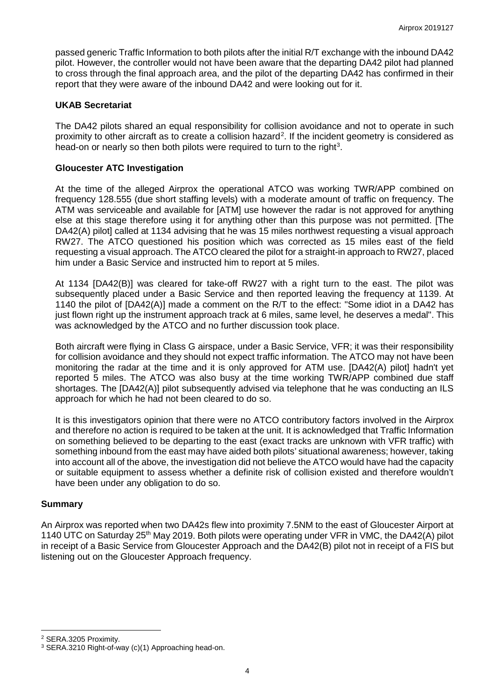passed generic Traffic Information to both pilots after the initial R/T exchange with the inbound DA42 pilot. However, the controller would not have been aware that the departing DA42 pilot had planned to cross through the final approach area, and the pilot of the departing DA42 has confirmed in their report that they were aware of the inbound DA42 and were looking out for it.

### **UKAB Secretariat**

The DA42 pilots shared an equal responsibility for collision avoidance and not to operate in such proximity to other aircraft as to create a collision hazard<sup>[2](#page-3-0)</sup>. If the incident geometry is considered as head-on or nearly so then both pilots were required to turn to the right<sup>[3](#page-3-1)</sup>.

### **Gloucester ATC Investigation**

At the time of the alleged Airprox the operational ATCO was working TWR/APP combined on frequency 128.555 (due short staffing levels) with a moderate amount of traffic on frequency. The ATM was serviceable and available for [ATM] use however the radar is not approved for anything else at this stage therefore using it for anything other than this purpose was not permitted. [The DA42(A) pilot] called at 1134 advising that he was 15 miles northwest requesting a visual approach RW27. The ATCO questioned his position which was corrected as 15 miles east of the field requesting a visual approach. The ATCO cleared the pilot for a straight-in approach to RW27, placed him under a Basic Service and instructed him to report at 5 miles.

At 1134 [DA42(B)] was cleared for take-off RW27 with a right turn to the east. The pilot was subsequently placed under a Basic Service and then reported leaving the frequency at 1139. At 1140 the pilot of [DA42(A)] made a comment on the R/T to the effect: "Some idiot in a DA42 has just flown right up the instrument approach track at 6 miles, same level, he deserves a medal". This was acknowledged by the ATCO and no further discussion took place.

Both aircraft were flying in Class G airspace, under a Basic Service, VFR; it was their responsibility for collision avoidance and they should not expect traffic information. The ATCO may not have been monitoring the radar at the time and it is only approved for ATM use. [DA42(A) pilot] hadn't yet reported 5 miles. The ATCO was also busy at the time working TWR/APP combined due staff shortages. The [DA42(A)] pilot subsequently advised via telephone that he was conducting an ILS approach for which he had not been cleared to do so.

It is this investigators opinion that there were no ATCO contributory factors involved in the Airprox and therefore no action is required to be taken at the unit. It is acknowledged that Traffic Information on something believed to be departing to the east (exact tracks are unknown with VFR traffic) with something inbound from the east may have aided both pilots' situational awareness; however, taking into account all of the above, the investigation did not believe the ATCO would have had the capacity or suitable equipment to assess whether a definite risk of collision existed and therefore wouldn't have been under any obligation to do so.

#### **Summary**

An Airprox was reported when two DA42s flew into proximity 7.5NM to the east of Gloucester Airport at 1140 UTC on Saturday 25<sup>th</sup> May 2019. Both pilots were operating under VFR in VMC, the DA42(A) pilot in receipt of a Basic Service from Gloucester Approach and the DA42(B) pilot not in receipt of a FIS but listening out on the Gloucester Approach frequency.

 $\overline{\phantom{a}}$ 

<span id="page-3-0"></span><sup>2</sup> SERA.3205 Proximity.

<span id="page-3-1"></span><sup>3</sup> SERA.3210 Right-of-way (c)(1) Approaching head-on.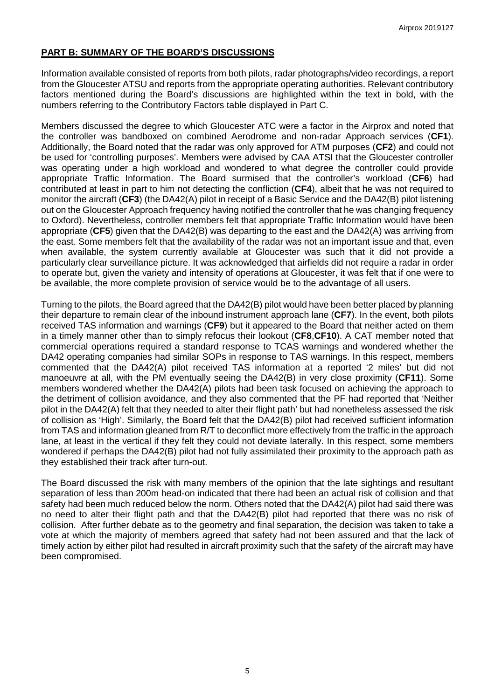### **PART B: SUMMARY OF THE BOARD'S DISCUSSIONS**

Information available consisted of reports from both pilots, radar photographs/video recordings, a report from the Gloucester ATSU and reports from the appropriate operating authorities. Relevant contributory factors mentioned during the Board's discussions are highlighted within the text in bold, with the numbers referring to the Contributory Factors table displayed in Part C.

Members discussed the degree to which Gloucester ATC were a factor in the Airprox and noted that the controller was bandboxed on combined Aerodrome and non-radar Approach services (**CF1**). Additionally, the Board noted that the radar was only approved for ATM purposes (**CF2**) and could not be used for 'controlling purposes'. Members were advised by CAA ATSI that the Gloucester controller was operating under a high workload and wondered to what degree the controller could provide appropriate Traffic Information. The Board surmised that the controller's workload (**CF6**) had contributed at least in part to him not detecting the confliction (**CF4**), albeit that he was not required to monitor the aircraft (**CF3**) (the DA42(A) pilot in receipt of a Basic Service and the DA42(B) pilot listening out on the Gloucester Approach frequency having notified the controller that he was changing frequency to Oxford). Nevertheless, controller members felt that appropriate Traffic Information would have been appropriate (**CF5**) given that the DA42(B) was departing to the east and the DA42(A) was arriving from the east. Some members felt that the availability of the radar was not an important issue and that, even when available, the system currently available at Gloucester was such that it did not provide a particularly clear surveillance picture. It was acknowledged that airfields did not require a radar in order to operate but, given the variety and intensity of operations at Gloucester, it was felt that if one were to be available, the more complete provision of service would be to the advantage of all users.

Turning to the pilots, the Board agreed that the DA42(B) pilot would have been better placed by planning their departure to remain clear of the inbound instrument approach lane (**CF7**). In the event, both pilots received TAS information and warnings (**CF9**) but it appeared to the Board that neither acted on them in a timely manner other than to simply refocus their lookout (**CF8**,**CF10**). A CAT member noted that commercial operations required a standard response to TCAS warnings and wondered whether the DA42 operating companies had similar SOPs in response to TAS warnings. In this respect, members commented that the DA42(A) pilot received TAS information at a reported '2 miles' but did not manoeuvre at all, with the PM eventually seeing the DA42(B) in very close proximity (**CF11**). Some members wondered whether the DA42(A) pilots had been task focused on achieving the approach to the detriment of collision avoidance, and they also commented that the PF had reported that 'Neither pilot in the DA42(A) felt that they needed to alter their flight path' but had nonetheless assessed the risk of collision as 'High'. Similarly, the Board felt that the DA42(B) pilot had received sufficient information from TAS and information gleaned from R/T to deconflict more effectively from the traffic in the approach lane, at least in the vertical if they felt they could not deviate laterally. In this respect, some members wondered if perhaps the DA42(B) pilot had not fully assimilated their proximity to the approach path as they established their track after turn-out.

The Board discussed the risk with many members of the opinion that the late sightings and resultant separation of less than 200m head-on indicated that there had been an actual risk of collision and that safety had been much reduced below the norm. Others noted that the DA42(A) pilot had said there was no need to alter their flight path and that the DA42(B) pilot had reported that there was no risk of collision. After further debate as to the geometry and final separation, the decision was taken to take a vote at which the majority of members agreed that safety had not been assured and that the lack of timely action by either pilot had resulted in aircraft proximity such that the safety of the aircraft may have been compromised.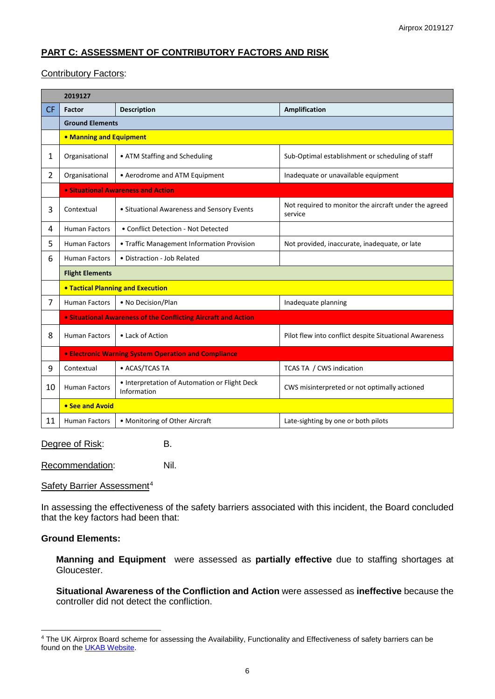# **PART C: ASSESSMENT OF CONTRIBUTORY FACTORS AND RISK**

### Contributory Factors:

|                | 2019127                                                     |                                                                |                                                                  |  |  |  |  |  |  |
|----------------|-------------------------------------------------------------|----------------------------------------------------------------|------------------------------------------------------------------|--|--|--|--|--|--|
| <b>CF</b>      | <b>Factor</b>                                               | <b>Description</b><br>Amplification                            |                                                                  |  |  |  |  |  |  |
|                | <b>Ground Elements</b>                                      |                                                                |                                                                  |  |  |  |  |  |  |
|                | • Manning and Equipment                                     |                                                                |                                                                  |  |  |  |  |  |  |
| 1              | Organisational                                              | • ATM Staffing and Scheduling                                  | Sub-Optimal establishment or scheduling of staff                 |  |  |  |  |  |  |
| $\overline{2}$ | Organisational                                              | • Aerodrome and ATM Equipment                                  | Inadequate or unavailable equipment                              |  |  |  |  |  |  |
|                |                                                             | • Situational Awareness and Action                             |                                                                  |  |  |  |  |  |  |
| 3              | Contextual                                                  | • Situational Awareness and Sensory Events                     | Not required to monitor the aircraft under the agreed<br>service |  |  |  |  |  |  |
| 4              | <b>Human Factors</b>                                        | • Conflict Detection - Not Detected                            |                                                                  |  |  |  |  |  |  |
| 5              | <b>Human Factors</b>                                        | • Traffic Management Information Provision                     | Not provided, inaccurate, inadequate, or late                    |  |  |  |  |  |  |
| 6              | <b>Human Factors</b>                                        | • Distraction - Job Related                                    |                                                                  |  |  |  |  |  |  |
|                | <b>Flight Elements</b>                                      |                                                                |                                                                  |  |  |  |  |  |  |
|                | <b>. Tactical Planning and Execution</b>                    |                                                                |                                                                  |  |  |  |  |  |  |
| 7              | <b>Human Factors</b>                                        | • No Decision/Plan                                             | Inadequate planning                                              |  |  |  |  |  |  |
|                |                                                             | • Situational Awareness of the Conflicting Aircraft and Action |                                                                  |  |  |  |  |  |  |
| 8              | <b>Human Factors</b>                                        | • Lack of Action                                               | Pilot flew into conflict despite Situational Awareness           |  |  |  |  |  |  |
|                | <b>• Electronic Warning System Operation and Compliance</b> |                                                                |                                                                  |  |  |  |  |  |  |
| 9              | Contextual                                                  | • ACAS/TCAS TA                                                 | TCAS TA / CWS indication                                         |  |  |  |  |  |  |
| 10             | <b>Human Factors</b>                                        | • Interpretation of Automation or Flight Deck<br>Information   | CWS misinterpreted or not optimally actioned                     |  |  |  |  |  |  |
|                | • See and Avoid                                             |                                                                |                                                                  |  |  |  |  |  |  |
| 11             | <b>Human Factors</b>                                        | • Monitoring of Other Aircraft                                 | Late-sighting by one or both pilots                              |  |  |  |  |  |  |

Degree of Risk: B.

Recommendation: Nil.

#### Safety Barrier Assessment<sup>[4](#page-5-0)</sup>

In assessing the effectiveness of the safety barriers associated with this incident, the Board concluded that the key factors had been that:

#### **Ground Elements:**

 $\overline{\phantom{a}}$ 

**Manning and Equipment** were assessed as **partially effective** due to staffing shortages at Gloucester.

**Situational Awareness of the Confliction and Action** were assessed as **ineffective** because the controller did not detect the confliction.

<span id="page-5-0"></span><sup>&</sup>lt;sup>4</sup> The UK Airprox Board scheme for assessing the Availability, Functionality and Effectiveness of safety barriers can be found on the **UKAB Website**.